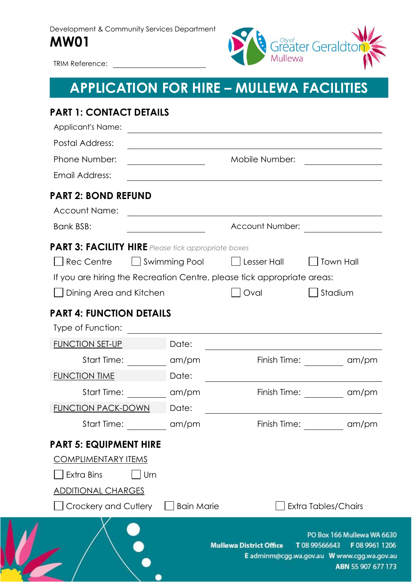Development & Community Services Department **MW01**



au.

TRIM Reference:

# **APPLICATION FOR HIRE – MULLEWA FACILITIES**

| <b>PART 1: CONTACT DETAILS</b><br><b>Applicant's Name:</b>              |               | <u> 1980 - Johann Stein, marwolaethau a bhann an t-Amhair Aonaichte ann an t-Amhair Aonaichte ann an t-Amhair Aon</u> |                                                                                                                                                        |
|-------------------------------------------------------------------------|---------------|-----------------------------------------------------------------------------------------------------------------------|--------------------------------------------------------------------------------------------------------------------------------------------------------|
| <b>Postal Address:</b>                                                  |               |                                                                                                                       |                                                                                                                                                        |
| Phone Number:                                                           |               | Mobile Number:                                                                                                        |                                                                                                                                                        |
| Email Address:                                                          |               |                                                                                                                       |                                                                                                                                                        |
| <b>PART 2: BOND REFUND</b>                                              |               |                                                                                                                       |                                                                                                                                                        |
| <b>Account Name:</b>                                                    |               | and the control of the control of the control of the control of the control of the control of the control of the      |                                                                                                                                                        |
| Bank BSB:                                                               |               | Account Number:                                                                                                       |                                                                                                                                                        |
| <b>PART 3: FACILITY HIRE</b> Please tick appropriate boxes              |               |                                                                                                                       |                                                                                                                                                        |
| <b>Rec Centre</b>                                                       | Swimming Pool | $\Box$ Lesser Hall                                                                                                    | <b>Town Hall</b>                                                                                                                                       |
| If you are hiring the Recreation Centre, please tick appropriate areas: |               |                                                                                                                       |                                                                                                                                                        |
| Dining Area and Kitchen                                                 |               | Oval                                                                                                                  | Stadium                                                                                                                                                |
| <b>PART 4: FUNCTION DETAILS</b>                                         |               |                                                                                                                       |                                                                                                                                                        |
| Type of Function:                                                       |               |                                                                                                                       |                                                                                                                                                        |
| <b>FUNCTION SET-UP</b>                                                  | Date:         |                                                                                                                       |                                                                                                                                                        |
| Start Time:                                                             | am/pm         |                                                                                                                       | Finish Time: ___________ am/pm                                                                                                                         |
| <b>FUNCTION TIME</b>                                                    | Date:         |                                                                                                                       | the contract of the contract of the contract of the contract of the contract of the contract of                                                        |
| Start Time:                                                             | am/pm         | Finish Time:                                                                                                          | am/pm                                                                                                                                                  |
| <b>FUNCTION PACK-DOWN</b>                                               | Date:         |                                                                                                                       |                                                                                                                                                        |
| Start Time: am/pm                                                       |               | Finish Time:                                                                                                          | am/pm                                                                                                                                                  |
| <b>PART 5: EQUIPMENT HIRE</b>                                           |               |                                                                                                                       |                                                                                                                                                        |
| <b>COMPLIMENTARY ITEMS</b>                                              |               |                                                                                                                       |                                                                                                                                                        |
| <b>Extra Bins</b><br>Urn                                                |               |                                                                                                                       |                                                                                                                                                        |
| <u>ADDITIONAL CHARGES</u>                                               |               |                                                                                                                       |                                                                                                                                                        |
| Crockery and Cutlery     Bain Marie                                     |               |                                                                                                                       | Extra Tables/Chairs                                                                                                                                    |
|                                                                         |               |                                                                                                                       | PO Box 166 Mullewa WA 6630<br>Mullewa District Office T 08 99566643 F 08 9961 1206<br>E adminm@cgg.wa.gov.au W www.cgg.wa.gov.au<br>ABN 55 907 677 173 |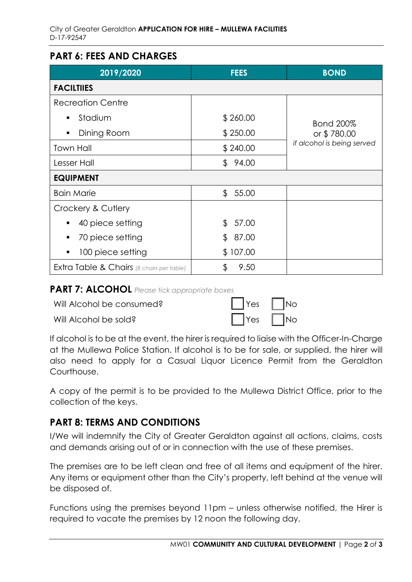### **PART 6: FEES AND CHARGES**

| 2019/2020                                            | <b>FEES</b>             | <b>BOND</b>                |  |
|------------------------------------------------------|-------------------------|----------------------------|--|
| <b>FACILTIIES</b>                                    |                         |                            |  |
| <b>Recreation Centre</b>                             |                         |                            |  |
| Stadium                                              | \$260.00                | <b>Bond 200%</b>           |  |
| Dining Room<br>п                                     | \$250.00                | or \$780.00                |  |
| Town Hall                                            | \$240.00                | if alcohol is being served |  |
| Lesser Hall                                          | 94.00<br>$\mathfrak{L}$ |                            |  |
| <b>EQUIPMENT</b>                                     |                         |                            |  |
| <b>Bain Marie</b>                                    | \$55.00                 |                            |  |
| Crockery & Cutlery                                   |                         |                            |  |
| 40 piece setting                                     | $\mathfrak{L}$<br>57.00 |                            |  |
| 70 piece setting<br>п                                | \$<br>87.00             |                            |  |
| 100 piece setting                                    | \$107.00                |                            |  |
| <b>Extra Table &amp; Chairs</b> (8 chairs per table) | 9.50<br>\$              |                            |  |

#### **PART 7: ALCOHOL** *Please tick appropriate boxes*

| Will Alcohol be consumed? | $\Box$ Yes $\Box$ No |  |
|---------------------------|----------------------|--|
|                           |                      |  |

Will Alcohol be sold?

| Yes | <b>No</b> |
|-----|-----------|
| Yes | <b>No</b> |

If alcohol is to be at the event, the hirer is required to liaise with the Officer-In-Charge at the Mullewa Police Station. If alcohol is to be for sale, or supplied, the hirer will also need to apply for a Casual Liquor Licence Permit from the Geraldton Courthouse.

A copy of the permit is to be provided to the Mullewa District Office, prior to the collection of the keys.

### **PART 8: TERMS AND CONDITIONS**

I/We will indemnify the City of Greater Geraldton against all actions, claims, costs and demands arising out of or in connection with the use of these premises.

The premises are to be left clean and free of all items and equipment of the hirer. Any items or equipment other than the City's property, left behind at the venue will be disposed of.

Functions using the premises beyond 11pm – unless otherwise notified, the Hirer is required to vacate the premises by 12 noon the following day.